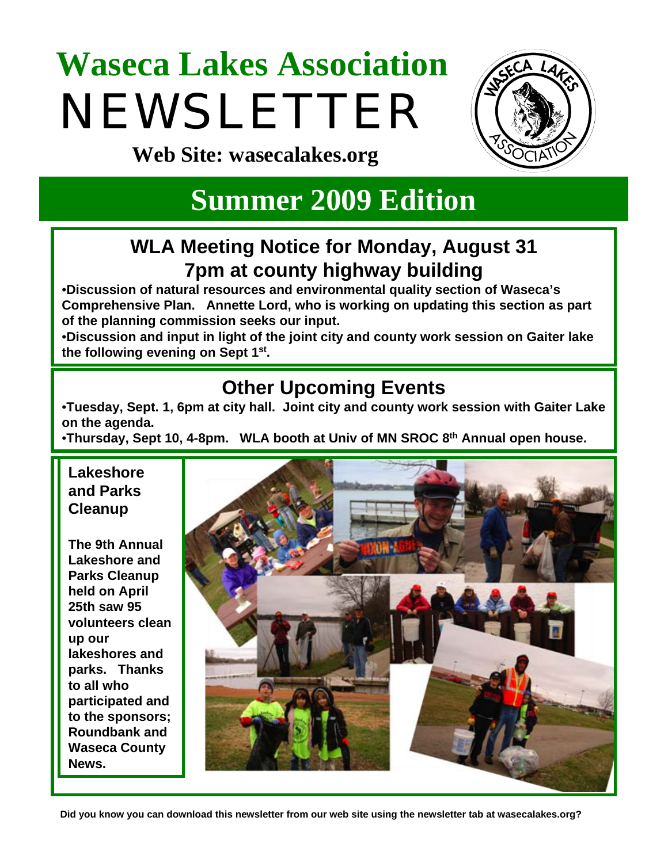# **Waseca Lakes Association**  NEWSLETTER



**Web Site: wasecalakes.org**

# **Summer 2009 Edition**

## **WLA Meeting Notice for Monday, August 31 7pm at county highway building**

•**Discussion of natural resources and environmental quality section of Waseca's Comprehensive Plan. Annette Lord, who is working on updating this section as part of the planning commission seeks our input.**

•**Discussion and input in light of the joint city and county work session on Gaiter lake the following evening on Sept 1st.**

# **Other Upcoming Events**

•**Tuesday, Sept. 1, 6pm at city hall. Joint city and county work session with Gaiter Lake on the agenda.**

•**Thursday, Sept 10, 4-8pm. WLA booth at Univ of MN SROC 8th Annual open house.**

#### **Lakeshore and Parks Cleanup**

**The 9th Annual Lakeshore and Parks Cleanup held on April 25th saw 95 volunteers clean up our lakeshores and parks. Thanks to all who participated and to the sponsors; Roundbank and Waseca County News.**



**Did you know you can download this newsletter from our web site using the newsletter tab at wasecalakes.org?**